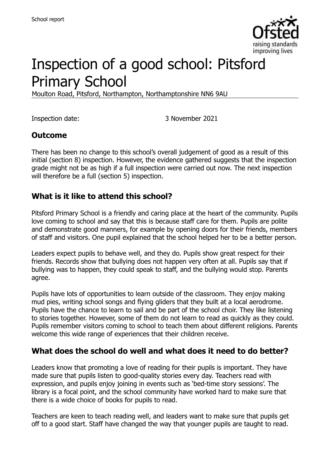

# Inspection of a good school: Pitsford Primary School

Moulton Road, Pitsford, Northampton, Northamptonshire NN6 9AU

Inspection date: 3 November 2021

### **Outcome**

There has been no change to this school's overall judgement of good as a result of this initial (section 8) inspection. However, the evidence gathered suggests that the inspection grade might not be as high if a full inspection were carried out now. The next inspection will therefore be a full (section 5) inspection.

#### **What is it like to attend this school?**

Pitsford Primary School is a friendly and caring place at the heart of the community. Pupils love coming to school and say that this is because staff care for them. Pupils are polite and demonstrate good manners, for example by opening doors for their friends, members of staff and visitors. One pupil explained that the school helped her to be a better person.

Leaders expect pupils to behave well, and they do. Pupils show great respect for their friends. Records show that bullying does not happen very often at all. Pupils say that if bullying was to happen, they could speak to staff, and the bullying would stop. Parents agree.

Pupils have lots of opportunities to learn outside of the classroom. They enjoy making mud pies, writing school songs and flying gliders that they built at a local aerodrome. Pupils have the chance to learn to sail and be part of the school choir. They like listening to stories together. However, some of them do not learn to read as quickly as they could. Pupils remember visitors coming to school to teach them about different religions. Parents welcome this wide range of experiences that their children receive.

#### **What does the school do well and what does it need to do better?**

Leaders know that promoting a love of reading for their pupils is important. They have made sure that pupils listen to good-quality stories every day. Teachers read with expression, and pupils enjoy joining in events such as 'bed-time story sessions'. The library is a focal point, and the school community have worked hard to make sure that there is a wide choice of books for pupils to read.

Teachers are keen to teach reading well, and leaders want to make sure that pupils get off to a good start. Staff have changed the way that younger pupils are taught to read.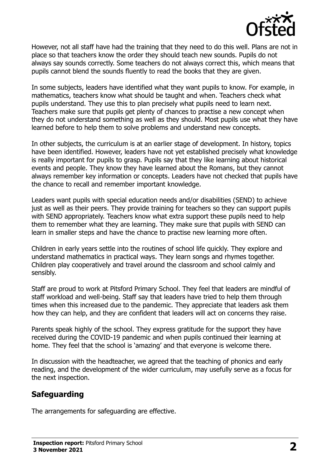

However, not all staff have had the training that they need to do this well. Plans are not in place so that teachers know the order they should teach new sounds. Pupils do not always say sounds correctly. Some teachers do not always correct this, which means that pupils cannot blend the sounds fluently to read the books that they are given.

In some subjects, leaders have identified what they want pupils to know. For example, in mathematics, teachers know what should be taught and when. Teachers check what pupils understand. They use this to plan precisely what pupils need to learn next. Teachers make sure that pupils get plenty of chances to practise a new concept when they do not understand something as well as they should. Most pupils use what they have learned before to help them to solve problems and understand new concepts.

In other subjects, the curriculum is at an earlier stage of development. In history, topics have been identified. However, leaders have not yet established precisely what knowledge is really important for pupils to grasp. Pupils say that they like learning about historical events and people. They know they have learned about the Romans, but they cannot always remember key information or concepts. Leaders have not checked that pupils have the chance to recall and remember important knowledge.

Leaders want pupils with special education needs and/or disabilities (SEND) to achieve just as well as their peers. They provide training for teachers so they can support pupils with SEND appropriately. Teachers know what extra support these pupils need to help them to remember what they are learning. They make sure that pupils with SEND can learn in smaller steps and have the chance to practise new learning more often.

Children in early years settle into the routines of school life quickly. They explore and understand mathematics in practical ways. They learn songs and rhymes together. Children play cooperatively and travel around the classroom and school calmly and sensibly.

Staff are proud to work at Pitsford Primary School. They feel that leaders are mindful of staff workload and well-being. Staff say that leaders have tried to help them through times when this increased due to the pandemic. They appreciate that leaders ask them how they can help, and they are confident that leaders will act on concerns they raise.

Parents speak highly of the school. They express gratitude for the support they have received during the COVID-19 pandemic and when pupils continued their learning at home. They feel that the school is 'amazing' and that everyone is welcome there.

In discussion with the headteacher, we agreed that the teaching of phonics and early reading, and the development of the wider curriculum, may usefully serve as a focus for the next inspection.

## **Safeguarding**

The arrangements for safeguarding are effective.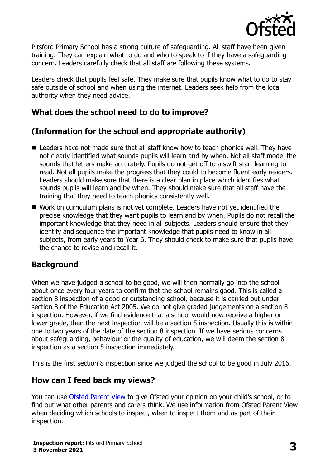

Pitsford Primary School has a strong culture of safeguarding. All staff have been given training. They can explain what to do and who to speak to if they have a safeguarding concern. Leaders carefully check that all staff are following these systems.

Leaders check that pupils feel safe. They make sure that pupils know what to do to stay safe outside of school and when using the internet. Leaders seek help from the local authority when they need advice.

## **What does the school need to do to improve?**

## **(Information for the school and appropriate authority)**

- Leaders have not made sure that all staff know how to teach phonics well. They have not clearly identified what sounds pupils will learn and by when. Not all staff model the sounds that letters make accurately. Pupils do not get off to a swift start learning to read. Not all pupils make the progress that they could to become fluent early readers. Leaders should make sure that there is a clear plan in place which identifies what sounds pupils will learn and by when. They should make sure that all staff have the training that they need to teach phonics consistently well.
- Work on curriculum plans is not yet complete. Leaders have not yet identified the precise knowledge that they want pupils to learn and by when. Pupils do not recall the important knowledge that they need in all subjects. Leaders should ensure that they identify and sequence the important knowledge that pupils need to know in all subjects, from early years to Year 6. They should check to make sure that pupils have the chance to revise and recall it.

## **Background**

When we have judged a school to be good, we will then normally go into the school about once every four years to confirm that the school remains good. This is called a section 8 inspection of a good or outstanding school, because it is carried out under section 8 of the Education Act 2005. We do not give graded judgements on a section 8 inspection. However, if we find evidence that a school would now receive a higher or lower grade, then the next inspection will be a section 5 inspection. Usually this is within one to two years of the date of the section 8 inspection. If we have serious concerns about safeguarding, behaviour or the quality of education, we will deem the section 8 inspection as a section 5 inspection immediately.

This is the first section 8 inspection since we judged the school to be good in July 2016.

## **How can I feed back my views?**

You can use [Ofsted Parent View](https://parentview.ofsted.gov.uk/) to give Ofsted your opinion on your child's school, or to find out what other parents and carers think. We use information from Ofsted Parent View when deciding which schools to inspect, when to inspect them and as part of their inspection.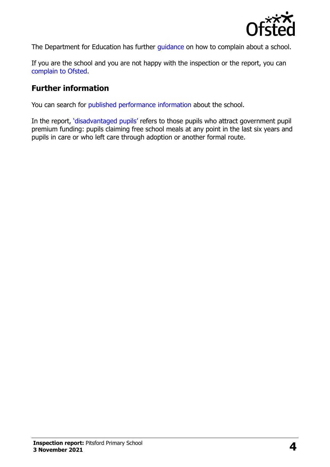

The Department for Education has further quidance on how to complain about a school.

If you are the school and you are not happy with the inspection or the report, you can [complain to Ofsted.](https://www.gov.uk/complain-ofsted-report)

#### **Further information**

You can search for [published performance](http://www.compare-school-performance.service.gov.uk/) information about the school.

In the report, '[disadvantaged pupils](http://www.gov.uk/guidance/pupil-premium-information-for-schools-and-alternative-provision-settings)' refers to those pupils who attract government pupil premium funding: pupils claiming free school meals at any point in the last six years and pupils in care or who left care through adoption or another formal route.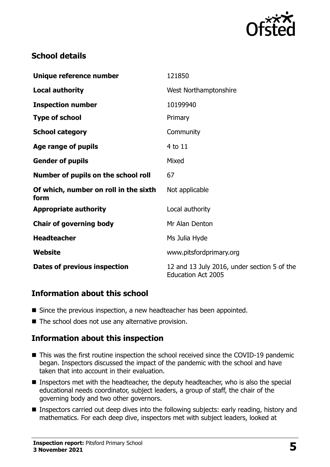

## **School details**

| Unique reference number                       | 121850                                                                   |
|-----------------------------------------------|--------------------------------------------------------------------------|
| <b>Local authority</b>                        | West Northamptonshire                                                    |
| <b>Inspection number</b>                      | 10199940                                                                 |
| <b>Type of school</b>                         | Primary                                                                  |
| <b>School category</b>                        | Community                                                                |
| Age range of pupils                           | 4 to 11                                                                  |
| <b>Gender of pupils</b>                       | Mixed                                                                    |
| Number of pupils on the school roll           | 67                                                                       |
| Of which, number on roll in the sixth<br>form | Not applicable                                                           |
| <b>Appropriate authority</b>                  | Local authority                                                          |
| <b>Chair of governing body</b>                | Mr Alan Denton                                                           |
| <b>Headteacher</b>                            | Ms Julia Hyde                                                            |
| <b>Website</b>                                | www.pitsfordprimary.org                                                  |
| Dates of previous inspection                  | 12 and 13 July 2016, under section 5 of the<br><b>Education Act 2005</b> |

### **Information about this school**

- Since the previous inspection, a new headteacher has been appointed.
- The school does not use any alternative provision.

### **Information about this inspection**

- This was the first routine inspection the school received since the COVID-19 pandemic began. Inspectors discussed the impact of the pandemic with the school and have taken that into account in their evaluation.
- Inspectors met with the headteacher, the deputy headteacher, who is also the special educational needs coordinator, subject leaders, a group of staff, the chair of the governing body and two other governors.
- Inspectors carried out deep dives into the following subjects: early reading, history and mathematics. For each deep dive, inspectors met with subject leaders, looked at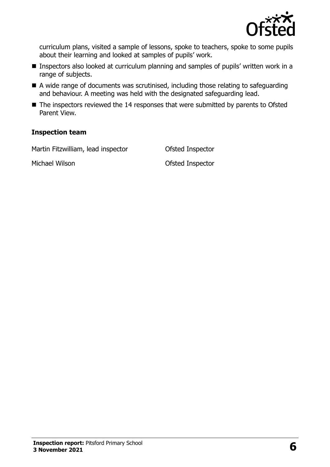

curriculum plans, visited a sample of lessons, spoke to teachers, spoke to some pupils about their learning and looked at samples of pupils' work.

- Inspectors also looked at curriculum planning and samples of pupils' written work in a range of subjects.
- A wide range of documents was scrutinised, including those relating to safeguarding and behaviour. A meeting was held with the designated safeguarding lead.
- The inspectors reviewed the 14 responses that were submitted by parents to Ofsted Parent View.

#### **Inspection team**

Martin Fitzwilliam, lead inspector **Ofsted Inspector** 

Michael Wilson **Ofsted Inspector**